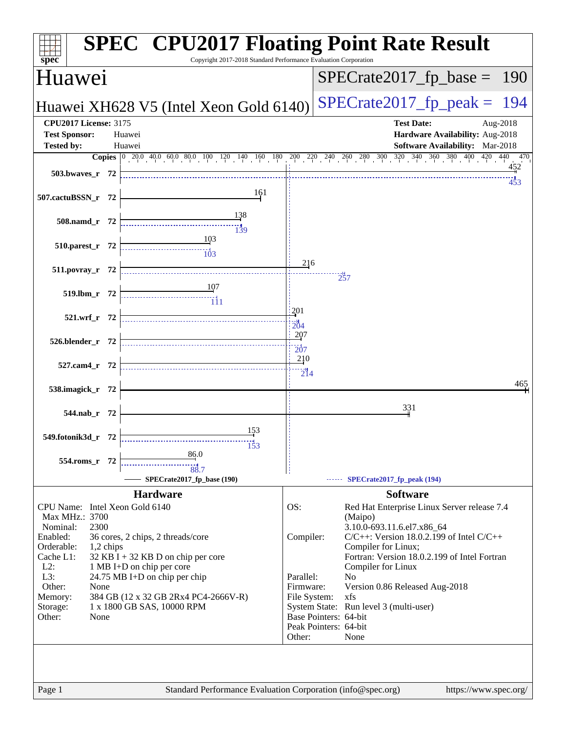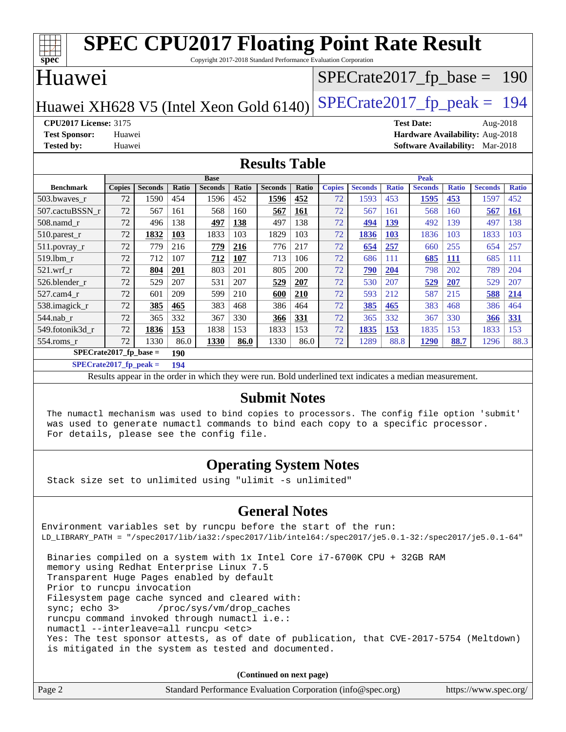| <b>SPEC CPU2017 Floating Point Rate Result</b><br>$\overline{\text{spec}^*}$<br>Copyright 2017-2018 Standard Performance Evaluation Corporation |               |                |       |                |              |                |       |               |                |              |                               |              |                |              |
|-------------------------------------------------------------------------------------------------------------------------------------------------|---------------|----------------|-------|----------------|--------------|----------------|-------|---------------|----------------|--------------|-------------------------------|--------------|----------------|--------------|
| Huawei                                                                                                                                          |               |                |       |                |              |                |       |               |                |              | $SPECTate2017_fp\_base = 190$ |              |                |              |
| $SPECTate2017$ _fp_peak = 194<br>Huawei XH628 V5 (Intel Xeon Gold 6140)                                                                         |               |                |       |                |              |                |       |               |                |              |                               |              |                |              |
| <b>CPU2017 License: 3175</b><br><b>Test Date:</b><br>Aug-2018                                                                                   |               |                |       |                |              |                |       |               |                |              |                               |              |                |              |
| Hardware Availability: Aug-2018<br><b>Test Sponsor:</b><br>Huawei                                                                               |               |                |       |                |              |                |       |               |                |              |                               |              |                |              |
| <b>Tested by:</b><br><b>Software Availability:</b> Mar-2018<br>Huawei                                                                           |               |                |       |                |              |                |       |               |                |              |                               |              |                |              |
| <b>Results Table</b>                                                                                                                            |               |                |       |                |              |                |       |               |                |              |                               |              |                |              |
| <b>Base</b><br><b>Peak</b>                                                                                                                      |               |                |       |                |              |                |       |               |                |              |                               |              |                |              |
| <b>Benchmark</b>                                                                                                                                | <b>Copies</b> | <b>Seconds</b> | Ratio | <b>Seconds</b> | <b>Ratio</b> | <b>Seconds</b> | Ratio | <b>Copies</b> | <b>Seconds</b> | <b>Ratio</b> | <b>Seconds</b>                | <b>Ratio</b> | <b>Seconds</b> | <b>Ratio</b> |
| 503.bwaves_r                                                                                                                                    | 72            | 1590           | 454   | 1596           | 452          | 1596           | 452   | 72            | 1593           | 453          | 1595                          | 453          | 1597           | 452          |
| 507.cactuBSSN r                                                                                                                                 | 72            | 567            | 161   | 568            | 160          | 567            | 161   | 72            | 567            | 161          | 568                           | 160          | 567            | <b>161</b>   |
| 508.namd_r                                                                                                                                      | 72            | 496            | 138   | 497            | 138          | 497            | 138   | 72            | 494            | 139          | 492                           | 139          | 497            | 138          |
| $510.parest_r$                                                                                                                                  | 72            | 1832           | 103   | 1833           | 103          | 1829           | 103   | 72            | 1836           | 103          | 1836                          | 103          | 1833           | 103          |
| 511.povray_r                                                                                                                                    | 72            | 779            | 216   | 779            | 216          | 776            | 217   | 72            | 654            | 257          | 660                           | 255          | 654            | 257          |
| 519.lbm r                                                                                                                                       | 72            | 712            | 107   | 712            | 107          | 713            | 106   | 72            | 686            | 111          | 685                           | <b>111</b>   | 685            | 111          |
| 521.wrf r                                                                                                                                       | 72            | 804            | 201   | 803            | 201          | 805            | 200   | 72            | 790            | 204          | 798                           | 202          | 789            | 204          |
| 526.blender r                                                                                                                                   | 72            | 529            | 207   | 531            | 207          | 529            | 207   | 72            | 530            | 207          | 529                           | 207          | 529            | 207          |
| 527.cam4 r                                                                                                                                      | 72            | 601            | 209   | 599            | 210          | 600            | 210   | 72            | 593            | 212          | 587                           | 215          | 588            | 214          |
| 538.imagick r                                                                                                                                   | 72            | 385            | 465   | 383            | 468          | 386            | 464   | 72            | 385            | 465          | 383                           | 468          | 386            | 464          |
| 544.nab r                                                                                                                                       | 72            | 365            | 332   | 367            | 330          | 366            | 331   | 72            | 365            | 332          | 367                           | 330          | 366            | 331          |
| 549.fotonik3d r                                                                                                                                 | 72            | 1836           | 153   | 1838           | 153          | 1833           | 153   | 72            | 1835           | 153          | 1835                          | 153          | 1833           | 153          |
| 554.roms_r<br>$CDPQ \rightarrow A04E R$                                                                                                         | 72            | 1330           | 86.0  | 1330           | 86.0         | 1330           | 86.0  | 72            | 1289           | 88.8         | 1290                          | 88.7         | 1296           | 88.3         |

**[SPECrate2017\\_fp\\_base =](http://www.spec.org/auto/cpu2017/Docs/result-fields.html#SPECrate2017fpbase) 190 [SPECrate2017\\_fp\\_peak =](http://www.spec.org/auto/cpu2017/Docs/result-fields.html#SPECrate2017fppeak) 194**

Results appear in the [order in which they were run.](http://www.spec.org/auto/cpu2017/Docs/result-fields.html#RunOrder) Bold underlined text [indicates a median measurement.](http://www.spec.org/auto/cpu2017/Docs/result-fields.html#Median)

#### **[Submit Notes](http://www.spec.org/auto/cpu2017/Docs/result-fields.html#SubmitNotes)**

 The numactl mechanism was used to bind copies to processors. The config file option 'submit' was used to generate numactl commands to bind each copy to a specific processor. For details, please see the config file.

#### **[Operating System Notes](http://www.spec.org/auto/cpu2017/Docs/result-fields.html#OperatingSystemNotes)**

Stack size set to unlimited using "ulimit -s unlimited"

#### **[General Notes](http://www.spec.org/auto/cpu2017/Docs/result-fields.html#GeneralNotes)**

Environment variables set by runcpu before the start of the run: LD\_LIBRARY\_PATH = "/spec2017/lib/ia32:/spec2017/lib/intel64:/spec2017/je5.0.1-32:/spec2017/je5.0.1-64" Binaries compiled on a system with 1x Intel Core i7-6700K CPU + 32GB RAM memory using Redhat Enterprise Linux 7.5 Transparent Huge Pages enabled by default Prior to runcpu invocation Filesystem page cache synced and cleared with: sync; echo 3> /proc/sys/vm/drop\_caches runcpu command invoked through numactl i.e.:

numactl --interleave=all runcpu <etc>

 Yes: The test sponsor attests, as of date of publication, that CVE-2017-5754 (Meltdown) is mitigated in the system as tested and documented.

**(Continued on next page)**

| Page 2<br>Standard Performance Evaluation Corporation (info@spec.org) | https://www.spec.org/ |
|-----------------------------------------------------------------------|-----------------------|
|-----------------------------------------------------------------------|-----------------------|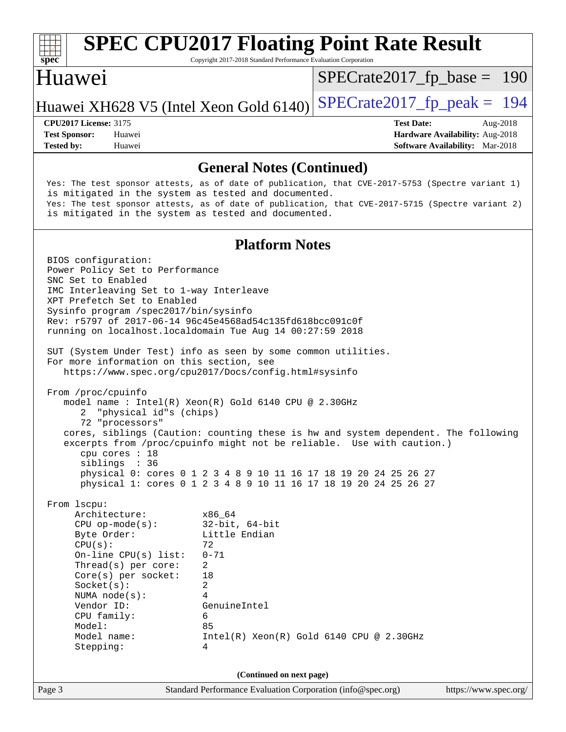

Copyright 2017-2018 Standard Performance Evaluation Corporation

#### Huawei

[SPECrate2017\\_fp\\_base =](http://www.spec.org/auto/cpu2017/Docs/result-fields.html#SPECrate2017fpbase) 190

#### Huawei XH628 V5 (Intel Xeon Gold 6140) SPECrate  $2017$  fp peak = 194

**[Tested by:](http://www.spec.org/auto/cpu2017/Docs/result-fields.html#Testedby)** Huawei **[Software Availability:](http://www.spec.org/auto/cpu2017/Docs/result-fields.html#SoftwareAvailability)** Mar-2018

**[CPU2017 License:](http://www.spec.org/auto/cpu2017/Docs/result-fields.html#CPU2017License)** 3175 **[Test Date:](http://www.spec.org/auto/cpu2017/Docs/result-fields.html#TestDate)** Aug-2018 **[Test Sponsor:](http://www.spec.org/auto/cpu2017/Docs/result-fields.html#TestSponsor)** Huawei **[Hardware Availability:](http://www.spec.org/auto/cpu2017/Docs/result-fields.html#HardwareAvailability)** Aug-2018

#### **[General Notes \(Continued\)](http://www.spec.org/auto/cpu2017/Docs/result-fields.html#GeneralNotes)**

 Yes: The test sponsor attests, as of date of publication, that CVE-2017-5753 (Spectre variant 1) is mitigated in the system as tested and documented. Yes: The test sponsor attests, as of date of publication, that CVE-2017-5715 (Spectre variant 2) is mitigated in the system as tested and documented.

#### **[Platform Notes](http://www.spec.org/auto/cpu2017/Docs/result-fields.html#PlatformNotes)**

Page 3 Standard Performance Evaluation Corporation [\(info@spec.org\)](mailto:info@spec.org) <https://www.spec.org/> BIOS configuration: Power Policy Set to Performance SNC Set to Enabled IMC Interleaving Set to 1-way Interleave XPT Prefetch Set to Enabled Sysinfo program /spec2017/bin/sysinfo Rev: r5797 of 2017-06-14 96c45e4568ad54c135fd618bcc091c0f running on localhost.localdomain Tue Aug 14 00:27:59 2018 SUT (System Under Test) info as seen by some common utilities. For more information on this section, see <https://www.spec.org/cpu2017/Docs/config.html#sysinfo> From /proc/cpuinfo model name : Intel(R) Xeon(R) Gold 6140 CPU @ 2.30GHz 2 "physical id"s (chips) 72 "processors" cores, siblings (Caution: counting these is hw and system dependent. The following excerpts from /proc/cpuinfo might not be reliable. Use with caution.) cpu cores : 18 siblings : 36 physical 0: cores 0 1 2 3 4 8 9 10 11 16 17 18 19 20 24 25 26 27 physical 1: cores 0 1 2 3 4 8 9 10 11 16 17 18 19 20 24 25 26 27 From lscpu: Architecture: x86\_64 CPU op-mode(s): 32-bit, 64-bit Byte Order: Little Endian  $CPU(s):$  72 On-line CPU(s) list: 0-71 Thread(s) per core: 2 Core(s) per socket: 18 Socket(s): 2 NUMA node(s): 4 Vendor ID: GenuineIntel CPU family: 6 Model: 85 Model name: Intel(R) Xeon(R) Gold 6140 CPU @ 2.30GHz Stepping: 4 **(Continued on next page)**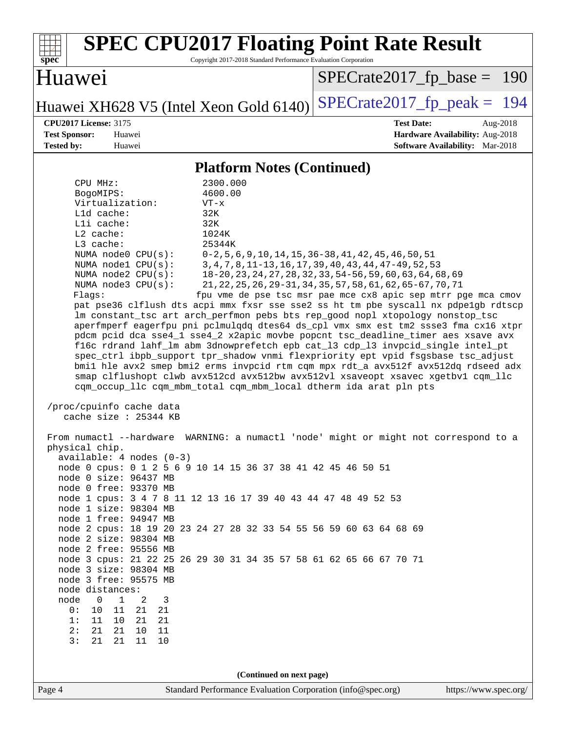| <b>SPEC CPU2017 Floating Point Rate Result</b><br>Copyright 2017-2018 Standard Performance Evaluation Corporation<br>spec <sup>®</sup>                                                                                                                                                                                                                                                                                                                                                                                                                                                                                                                                                                                                                                                                                                                                                                                                                                                                                                                                                                                                                                                                                                                                                                                                                                                                                                                                                                                                                                                                                                                                                                                                                                                                                                                                                                                                                                                                                                                                                                                                                                                                                                                                                          |                                                                                                            |  |  |  |  |  |
|-------------------------------------------------------------------------------------------------------------------------------------------------------------------------------------------------------------------------------------------------------------------------------------------------------------------------------------------------------------------------------------------------------------------------------------------------------------------------------------------------------------------------------------------------------------------------------------------------------------------------------------------------------------------------------------------------------------------------------------------------------------------------------------------------------------------------------------------------------------------------------------------------------------------------------------------------------------------------------------------------------------------------------------------------------------------------------------------------------------------------------------------------------------------------------------------------------------------------------------------------------------------------------------------------------------------------------------------------------------------------------------------------------------------------------------------------------------------------------------------------------------------------------------------------------------------------------------------------------------------------------------------------------------------------------------------------------------------------------------------------------------------------------------------------------------------------------------------------------------------------------------------------------------------------------------------------------------------------------------------------------------------------------------------------------------------------------------------------------------------------------------------------------------------------------------------------------------------------------------------------------------------------------------------------|------------------------------------------------------------------------------------------------------------|--|--|--|--|--|
| Huawei                                                                                                                                                                                                                                                                                                                                                                                                                                                                                                                                                                                                                                                                                                                                                                                                                                                                                                                                                                                                                                                                                                                                                                                                                                                                                                                                                                                                                                                                                                                                                                                                                                                                                                                                                                                                                                                                                                                                                                                                                                                                                                                                                                                                                                                                                          | $SPECTate2017fr base = 190$                                                                                |  |  |  |  |  |
| Huawei XH628 V5 (Intel Xeon Gold 6140)                                                                                                                                                                                                                                                                                                                                                                                                                                                                                                                                                                                                                                                                                                                                                                                                                                                                                                                                                                                                                                                                                                                                                                                                                                                                                                                                                                                                                                                                                                                                                                                                                                                                                                                                                                                                                                                                                                                                                                                                                                                                                                                                                                                                                                                          | $SPECrate2017_fp\_peak = 194$                                                                              |  |  |  |  |  |
| <b>CPU2017 License: 3175</b><br><b>Test Sponsor:</b><br>Huawei<br><b>Tested by:</b><br>Huawei                                                                                                                                                                                                                                                                                                                                                                                                                                                                                                                                                                                                                                                                                                                                                                                                                                                                                                                                                                                                                                                                                                                                                                                                                                                                                                                                                                                                                                                                                                                                                                                                                                                                                                                                                                                                                                                                                                                                                                                                                                                                                                                                                                                                   | <b>Test Date:</b><br>Aug-2018<br>Hardware Availability: Aug-2018<br><b>Software Availability:</b> Mar-2018 |  |  |  |  |  |
|                                                                                                                                                                                                                                                                                                                                                                                                                                                                                                                                                                                                                                                                                                                                                                                                                                                                                                                                                                                                                                                                                                                                                                                                                                                                                                                                                                                                                                                                                                                                                                                                                                                                                                                                                                                                                                                                                                                                                                                                                                                                                                                                                                                                                                                                                                 |                                                                                                            |  |  |  |  |  |
| <b>Platform Notes (Continued)</b><br>CPU MHz:<br>2300.000<br>4600.00<br>BogoMIPS:<br>Virtualization:<br>$VT - x$<br>L1d cache:<br>32K<br>Lli cache:<br>32K<br>$L2$ cache:<br>1024K<br>L3 cache:<br>25344K<br>NUMA node0 CPU(s):<br>$0-2, 5, 6, 9, 10, 14, 15, 36-38, 41, 42, 45, 46, 50, 51$<br>NUMA nodel CPU(s):<br>3, 4, 7, 8, 11-13, 16, 17, 39, 40, 43, 44, 47-49, 52, 53<br>NUMA node2 CPU(s):<br>18-20, 23, 24, 27, 28, 32, 33, 54-56, 59, 60, 63, 64, 68, 69<br>21, 22, 25, 26, 29-31, 34, 35, 57, 58, 61, 62, 65-67, 70, 71<br>NUMA node3 CPU(s):<br>fpu vme de pse tsc msr pae mce cx8 apic sep mtrr pge mca cmov<br>Flags:<br>pat pse36 clflush dts acpi mmx fxsr sse sse2 ss ht tm pbe syscall nx pdpelgb rdtscp<br>lm constant_tsc art arch_perfmon pebs bts rep_good nopl xtopology nonstop_tsc<br>aperfmperf eagerfpu pni pclmulqdq dtes64 ds_cpl vmx smx est tm2 ssse3 fma cx16 xtpr<br>pdcm pcid dca sse4_1 sse4_2 x2apic movbe popcnt tsc_deadline_timer aes xsave avx<br>f16c rdrand lahf_lm abm 3dnowprefetch epb cat_13 cdp_13 invpcid_single intel_pt<br>spec_ctrl ibpb_support tpr_shadow vnmi flexpriority ept vpid fsgsbase tsc_adjust<br>bmil hle avx2 smep bmi2 erms invpcid rtm cqm mpx rdt_a avx512f avx512dq rdseed adx<br>smap clflushopt clwb avx512cd avx512bw avx512vl xsaveopt xsavec xgetbvl cqm_llc<br>cqm_occup_llc cqm_mbm_total cqm_mbm_local dtherm ida arat pln pts<br>/proc/cpuinfo cache data<br>cache size : 25344 KB<br>From numactl --hardware WARNING: a numactl 'node' might or might not correspond to a<br>physical chip.<br>$available: 4 nodes (0-3)$<br>node 0 cpus: 0 1 2 5 6 9 10 14 15 36 37 38 41 42 45 46 50 51<br>node 0 size: 96437 MB<br>node 0 free: 93370 MB<br>node 1 cpus: 3 4 7 8 11 12 13 16 17 39 40 43 44 47 48 49 52 53<br>node 1 size: 98304 MB<br>node 1 free: 94947 MB<br>node 2 cpus: 18 19 20 23 24 27 28 32 33 54 55 56 59 60 63 64 68 69<br>node 2 size: 98304 MB<br>node 2 free: 95556 MB<br>node 3 cpus: 21 22 25 26 29 30 31 34 35 57 58 61 62 65 66 67 70 71<br>node 3 size: 98304 MB<br>node 3 free: 95575 MB<br>node distances:<br>$\mathbf{1}$<br>node<br>$\overline{0}$<br>2<br>3<br>0:<br>10<br>11<br>21<br>21<br>1:<br>11<br>10<br>21<br>21<br>2:<br>21<br>21<br>11<br>10<br>3:<br>21<br>21<br>11<br>10 |                                                                                                            |  |  |  |  |  |
| (Continued on next page)<br>Standard Performance Evaluation Corporation (info@spec.org)<br>https://www.spec.org/                                                                                                                                                                                                                                                                                                                                                                                                                                                                                                                                                                                                                                                                                                                                                                                                                                                                                                                                                                                                                                                                                                                                                                                                                                                                                                                                                                                                                                                                                                                                                                                                                                                                                                                                                                                                                                                                                                                                                                                                                                                                                                                                                                                |                                                                                                            |  |  |  |  |  |
| Page 4                                                                                                                                                                                                                                                                                                                                                                                                                                                                                                                                                                                                                                                                                                                                                                                                                                                                                                                                                                                                                                                                                                                                                                                                                                                                                                                                                                                                                                                                                                                                                                                                                                                                                                                                                                                                                                                                                                                                                                                                                                                                                                                                                                                                                                                                                          |                                                                                                            |  |  |  |  |  |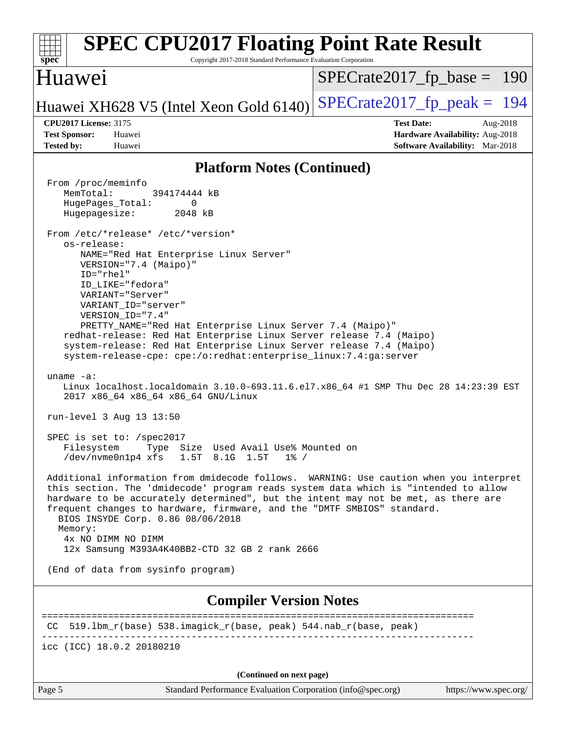| <b>SPEC CPU2017 Floating Point Rate Result</b><br>spec<br>Copyright 2017-2018 Standard Performance Evaluation Corporation                                                                                                                                                                                                                                                                                                                                                                                                                                                                                                                                                                                                                                                                                                                                                                                                                                                                                                                                                                                                                                                                                                                                                                                                                                                                                                                                                         |                                                                                                     |
|-----------------------------------------------------------------------------------------------------------------------------------------------------------------------------------------------------------------------------------------------------------------------------------------------------------------------------------------------------------------------------------------------------------------------------------------------------------------------------------------------------------------------------------------------------------------------------------------------------------------------------------------------------------------------------------------------------------------------------------------------------------------------------------------------------------------------------------------------------------------------------------------------------------------------------------------------------------------------------------------------------------------------------------------------------------------------------------------------------------------------------------------------------------------------------------------------------------------------------------------------------------------------------------------------------------------------------------------------------------------------------------------------------------------------------------------------------------------------------------|-----------------------------------------------------------------------------------------------------|
| Huawei                                                                                                                                                                                                                                                                                                                                                                                                                                                                                                                                                                                                                                                                                                                                                                                                                                                                                                                                                                                                                                                                                                                                                                                                                                                                                                                                                                                                                                                                            | $SPECrate2017_fp\_base = 190$                                                                       |
| Huawei XH628 V5 (Intel Xeon Gold 6140)                                                                                                                                                                                                                                                                                                                                                                                                                                                                                                                                                                                                                                                                                                                                                                                                                                                                                                                                                                                                                                                                                                                                                                                                                                                                                                                                                                                                                                            | $SPECrate2017_fp\_peak = 194$                                                                       |
| <b>CPU2017 License: 3175</b><br><b>Test Sponsor:</b><br>Huawei<br><b>Tested by:</b><br>Huawei                                                                                                                                                                                                                                                                                                                                                                                                                                                                                                                                                                                                                                                                                                                                                                                                                                                                                                                                                                                                                                                                                                                                                                                                                                                                                                                                                                                     | <b>Test Date:</b><br>Aug-2018<br>Hardware Availability: Aug-2018<br>Software Availability: Mar-2018 |
| <b>Platform Notes (Continued)</b>                                                                                                                                                                                                                                                                                                                                                                                                                                                                                                                                                                                                                                                                                                                                                                                                                                                                                                                                                                                                                                                                                                                                                                                                                                                                                                                                                                                                                                                 |                                                                                                     |
| From /proc/meminfo<br>MemTotal:<br>394174444 kB<br>HugePages_Total:<br>0<br>Hugepagesize:<br>2048 kB<br>From /etc/*release* /etc/*version*<br>os-release:<br>NAME="Red Hat Enterprise Linux Server"<br>VERSION="7.4 (Maipo)"<br>ID="rhel"<br>ID_LIKE="fedora"<br>VARIANT="Server"<br>VARIANT_ID="server"<br>VERSION_ID="7.4"<br>PRETTY_NAME="Red Hat Enterprise Linux Server 7.4 (Maipo)"<br>redhat-release: Red Hat Enterprise Linux Server release 7.4 (Maipo)<br>system-release: Red Hat Enterprise Linux Server release 7.4 (Maipo)<br>system-release-cpe: cpe:/o:redhat:enterprise_linux:7.4:ga:server<br>uname $-a$ :<br>Linux localhost.localdomain 3.10.0-693.11.6.el7.x86_64 #1 SMP Thu Dec 28 14:23:39 EST<br>2017 x86_64 x86_64 x86_64 GNU/Linux<br>run-level 3 Aug 13 13:50<br>SPEC is set to: /spec2017<br>Filesystem Type Size Used Avail Use% Mounted on<br>$/\text{dev/nvmeOn1p4 xfs}$ 1.5T 8.1G 1.5T<br>$1\%$ /<br>Additional information from dmidecode follows. WARNING: Use caution when you interpret<br>this section. The 'dmidecode' program reads system data which is "intended to allow<br>hardware to be accurately determined", but the intent may not be met, as there are<br>frequent changes to hardware, firmware, and the "DMTF SMBIOS" standard.<br>BIOS INSYDE Corp. 0.86 08/06/2018<br>Memory:<br>4x NO DIMM NO DIMM<br>12x Samsung M393A4K40BB2-CTD 32 GB 2 rank 2666<br>(End of data from sysinfo program)<br><b>Compiler Version Notes</b> |                                                                                                     |
| CC 519.1bm_r(base) 538.imagick_r(base, peak) 544.nab_r(base, peak)                                                                                                                                                                                                                                                                                                                                                                                                                                                                                                                                                                                                                                                                                                                                                                                                                                                                                                                                                                                                                                                                                                                                                                                                                                                                                                                                                                                                                | =======================                                                                             |
| icc (ICC) 18.0.2 20180210                                                                                                                                                                                                                                                                                                                                                                                                                                                                                                                                                                                                                                                                                                                                                                                                                                                                                                                                                                                                                                                                                                                                                                                                                                                                                                                                                                                                                                                         |                                                                                                     |
|                                                                                                                                                                                                                                                                                                                                                                                                                                                                                                                                                                                                                                                                                                                                                                                                                                                                                                                                                                                                                                                                                                                                                                                                                                                                                                                                                                                                                                                                                   |                                                                                                     |
| (Continued on next page)<br>Page 5<br>Standard Performance Evaluation Corporation (info@spec.org)                                                                                                                                                                                                                                                                                                                                                                                                                                                                                                                                                                                                                                                                                                                                                                                                                                                                                                                                                                                                                                                                                                                                                                                                                                                                                                                                                                                 | https://www.spec.org/                                                                               |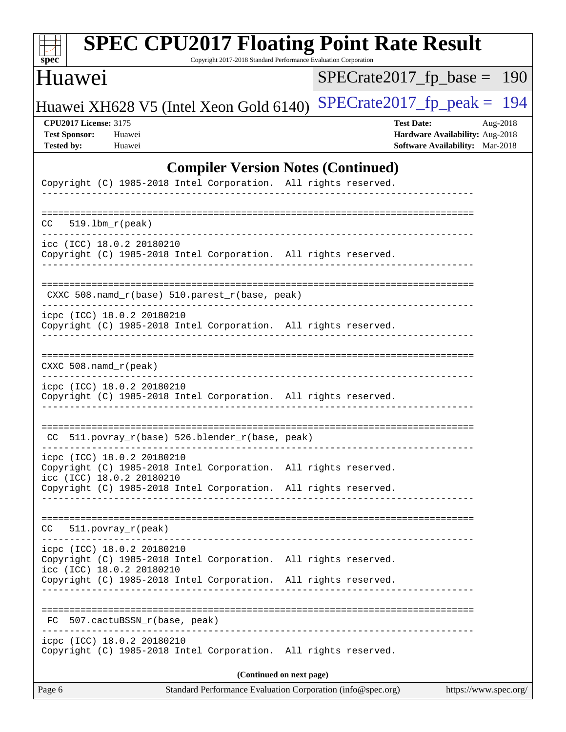| $\mathbf{s}\overline{\mathbf{p}}\overline{\mathbf{e}}\overline{\mathbf{c}}^\ast$ |  |
|----------------------------------------------------------------------------------|--|

Copyright 2017-2018 Standard Performance Evaluation Corporation

### Huawei

[SPECrate2017\\_fp\\_base =](http://www.spec.org/auto/cpu2017/Docs/result-fields.html#SPECrate2017fpbase) 190

## Huawei XH628 V5 (Intel Xeon Gold 6140) SPECrate  $2017$  fp peak = 194

**[CPU2017 License:](http://www.spec.org/auto/cpu2017/Docs/result-fields.html#CPU2017License)** 3175 **[Test Date:](http://www.spec.org/auto/cpu2017/Docs/result-fields.html#TestDate)** Aug-2018 **[Test Sponsor:](http://www.spec.org/auto/cpu2017/Docs/result-fields.html#TestSponsor)** Huawei **[Hardware Availability:](http://www.spec.org/auto/cpu2017/Docs/result-fields.html#HardwareAvailability)** Aug-2018 **[Tested by:](http://www.spec.org/auto/cpu2017/Docs/result-fields.html#Testedby)** Huawei **[Software Availability:](http://www.spec.org/auto/cpu2017/Docs/result-fields.html#SoftwareAvailability)** Mar-2018

#### **[Compiler Version Notes \(Continued\)](http://www.spec.org/auto/cpu2017/Docs/result-fields.html#CompilerVersionNotes)**

| Standard Performance Evaluation Corporation (info@spec.org)<br>Page 6                                                                                           | https://www.spec.org/    |  |  |  |  |
|-----------------------------------------------------------------------------------------------------------------------------------------------------------------|--------------------------|--|--|--|--|
| (Continued on next page)                                                                                                                                        |                          |  |  |  |  |
| icpc (ICC) 18.0.2 20180210<br>Copyright (C) 1985-2018 Intel Corporation. All rights reserved.                                                                   |                          |  |  |  |  |
| 507.cactuBSSN_r(base, peak)<br>FC                                                                                                                               |                          |  |  |  |  |
| icc (ICC) 18.0.2 20180210<br>Copyright (C) 1985-2018 Intel Corporation. All rights reserved.                                                                    |                          |  |  |  |  |
| icpc (ICC) 18.0.2 20180210<br>Copyright (C) 1985-2018 Intel Corporation. All rights reserved.                                                                   |                          |  |  |  |  |
| $511. povray_r (peak)$<br>CC                                                                                                                                    |                          |  |  |  |  |
| Copyright (C) 1985-2018 Intel Corporation. All rights reserved.<br>icc (ICC) 18.0.2 20180210<br>Copyright (C) 1985-2018 Intel Corporation. All rights reserved. |                          |  |  |  |  |
| icpc (ICC) 18.0.2 20180210                                                                                                                                      |                          |  |  |  |  |
| CC 511.povray_r(base) 526.blender_r(base, peak)                                                                                                                 |                          |  |  |  |  |
| icpc (ICC) 18.0.2 20180210<br>Copyright (C) 1985-2018 Intel Corporation. All rights reserved.<br>.                                                              |                          |  |  |  |  |
| $CXXC 508.namd_r (peak)$                                                                                                                                        |                          |  |  |  |  |
| icpc (ICC) 18.0.2 20180210<br>Copyright (C) 1985-2018 Intel Corporation. All rights reserved.                                                                   |                          |  |  |  |  |
| CXXC 508.namd_r(base) 510.parest_r(base, peak)                                                                                                                  |                          |  |  |  |  |
| icc (ICC) 18.0.2 20180210<br>Copyright (C) 1985-2018 Intel Corporation. All rights reserved.<br>-------------                                                   |                          |  |  |  |  |
| $CC$ 519.1bm_ $r$ (peak)<br>______________________                                                                                                              | ________________________ |  |  |  |  |
| Copyright (C) 1985-2018 Intel Corporation. All rights reserved.                                                                                                 |                          |  |  |  |  |
|                                                                                                                                                                 |                          |  |  |  |  |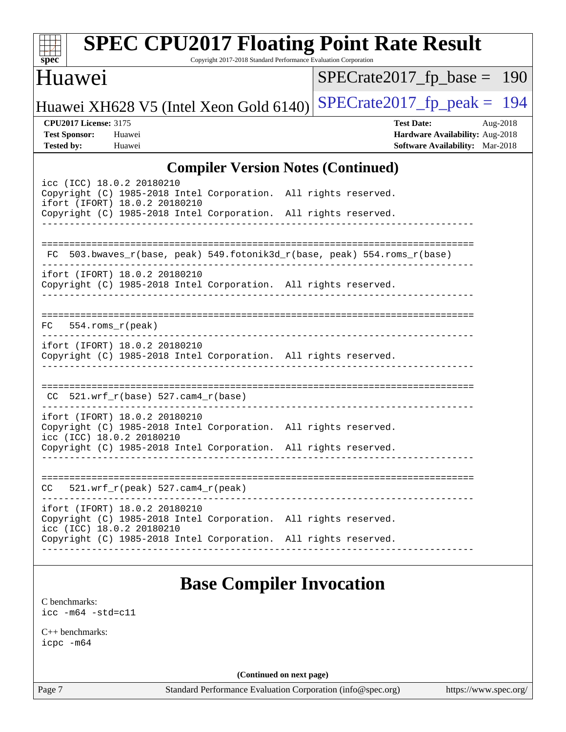| $spec^*$                                                                  | <b>SPEC CPU2017 Floating Point Rate Result</b>                                                                                                                                                   | Copyright 2017-2018 Standard Performance Evaluation Corporation |                               |                                                                                         |          |
|---------------------------------------------------------------------------|--------------------------------------------------------------------------------------------------------------------------------------------------------------------------------------------------|-----------------------------------------------------------------|-------------------------------|-----------------------------------------------------------------------------------------|----------|
| Huawei                                                                    |                                                                                                                                                                                                  |                                                                 | $SPECrate2017_fp\_base = 190$ |                                                                                         |          |
|                                                                           | Huawei XH628 V5 (Intel Xeon Gold 6140)                                                                                                                                                           |                                                                 | $SPECrate2017_fp\_peak = 194$ |                                                                                         |          |
| <b>CPU2017 License: 3175</b><br><b>Test Sponsor:</b><br><b>Tested by:</b> | Huawei<br>Huawei                                                                                                                                                                                 |                                                                 |                               | <b>Test Date:</b><br>Hardware Availability: Aug-2018<br>Software Availability: Mar-2018 | Aug-2018 |
|                                                                           |                                                                                                                                                                                                  | <b>Compiler Version Notes (Continued)</b>                       |                               |                                                                                         |          |
|                                                                           | icc (ICC) 18.0.2 20180210<br>Copyright (C) 1985-2018 Intel Corporation. All rights reserved.<br>ifort (IFORT) 18.0.2 20180210<br>Copyright (C) 1985-2018 Intel Corporation. All rights reserved. |                                                                 |                               |                                                                                         |          |
|                                                                           | FC 503.bwaves_r(base, peak) 549.fotonik3d_r(base, peak) 554.roms_r(base)                                                                                                                         |                                                                 |                               |                                                                                         |          |
|                                                                           | ifort (IFORT) 18.0.2 20180210<br>Copyright (C) 1985-2018 Intel Corporation. All rights reserved.                                                                                                 |                                                                 |                               |                                                                                         |          |
| $FC$ 554.roms $_r$ (peak)                                                 |                                                                                                                                                                                                  |                                                                 |                               |                                                                                         |          |
|                                                                           | ifort (IFORT) 18.0.2 20180210<br>Copyright (C) 1985-2018 Intel Corporation. All rights reserved.                                                                                                 |                                                                 |                               |                                                                                         |          |
|                                                                           | $CC$ 521.wrf_r(base) 527.cam4_r(base)                                                                                                                                                            |                                                                 |                               |                                                                                         |          |
|                                                                           | ifort (IFORT) 18.0.2 20180210<br>Copyright (C) 1985-2018 Intel Corporation. All rights reserved.<br>icc (ICC) 18.0.2 20180210<br>Copyright (C) 1985-2018 Intel Corporation. All rights reserved. |                                                                 |                               |                                                                                         |          |
|                                                                           |                                                                                                                                                                                                  |                                                                 |                               |                                                                                         |          |
| CC.                                                                       | $521.wrf_r(peak) 527.cam4_r(peak)$                                                                                                                                                               |                                                                 |                               |                                                                                         |          |
|                                                                           | ifort (IFORT) 18.0.2 20180210<br>Copyright (C) 1985-2018 Intel Corporation. All rights reserved.<br>icc (ICC) 18.0.2 20180210                                                                    |                                                                 |                               |                                                                                         |          |
|                                                                           | Copyright (C) 1985-2018 Intel Corporation. All rights reserved.                                                                                                                                  |                                                                 |                               |                                                                                         |          |
| C benchmarks:<br>$\text{icc}$ -m64 -std=c11                               |                                                                                                                                                                                                  | <b>Base Compiler Invocation</b>                                 |                               |                                                                                         |          |

[C++ benchmarks:](http://www.spec.org/auto/cpu2017/Docs/result-fields.html#CXXbenchmarks)

[icpc -m64](http://www.spec.org/cpu2017/results/res2018q4/cpu2017-20181025-09282.flags.html#user_CXXbase_intel_icpc_64bit_4ecb2543ae3f1412ef961e0650ca070fec7b7afdcd6ed48761b84423119d1bf6bdf5cad15b44d48e7256388bc77273b966e5eb805aefd121eb22e9299b2ec9d9)

**(Continued on next page)**

Page 7 Standard Performance Evaluation Corporation [\(info@spec.org\)](mailto:info@spec.org) <https://www.spec.org/>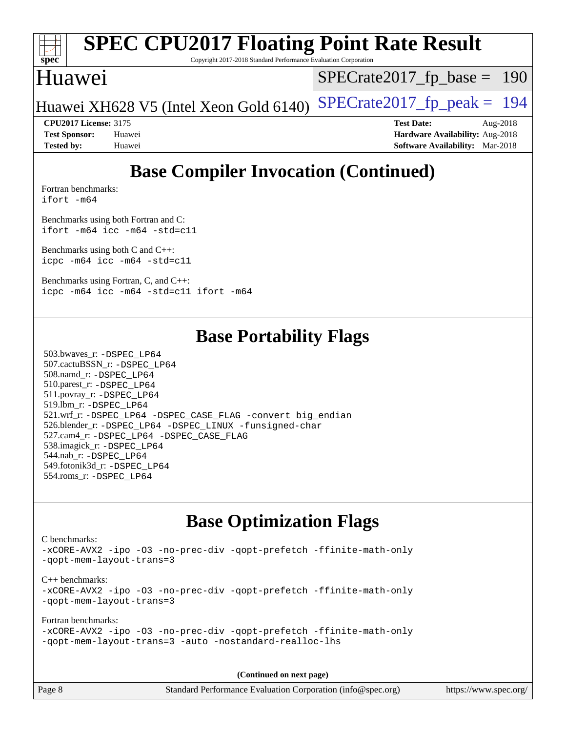

Copyright 2017-2018 Standard Performance Evaluation Corporation

#### Huawei

[SPECrate2017\\_fp\\_base =](http://www.spec.org/auto/cpu2017/Docs/result-fields.html#SPECrate2017fpbase) 190

Huawei XH628 V5 (Intel Xeon Gold 6140) SPECrate  $2017$  fp peak = 194

**[CPU2017 License:](http://www.spec.org/auto/cpu2017/Docs/result-fields.html#CPU2017License)** 3175 **[Test Date:](http://www.spec.org/auto/cpu2017/Docs/result-fields.html#TestDate)** Aug-2018 **[Test Sponsor:](http://www.spec.org/auto/cpu2017/Docs/result-fields.html#TestSponsor)** Huawei **[Hardware Availability:](http://www.spec.org/auto/cpu2017/Docs/result-fields.html#HardwareAvailability)** Aug-2018

## **[Base Compiler Invocation \(Continued\)](http://www.spec.org/auto/cpu2017/Docs/result-fields.html#BaseCompilerInvocation)**

**[Tested by:](http://www.spec.org/auto/cpu2017/Docs/result-fields.html#Testedby)** Huawei **[Software Availability:](http://www.spec.org/auto/cpu2017/Docs/result-fields.html#SoftwareAvailability)** Mar-2018

[Fortran benchmarks](http://www.spec.org/auto/cpu2017/Docs/result-fields.html#Fortranbenchmarks): [ifort -m64](http://www.spec.org/cpu2017/results/res2018q4/cpu2017-20181025-09282.flags.html#user_FCbase_intel_ifort_64bit_24f2bb282fbaeffd6157abe4f878425411749daecae9a33200eee2bee2fe76f3b89351d69a8130dd5949958ce389cf37ff59a95e7a40d588e8d3a57e0c3fd751)

[Benchmarks using both Fortran and C](http://www.spec.org/auto/cpu2017/Docs/result-fields.html#BenchmarksusingbothFortranandC): [ifort -m64](http://www.spec.org/cpu2017/results/res2018q4/cpu2017-20181025-09282.flags.html#user_CC_FCbase_intel_ifort_64bit_24f2bb282fbaeffd6157abe4f878425411749daecae9a33200eee2bee2fe76f3b89351d69a8130dd5949958ce389cf37ff59a95e7a40d588e8d3a57e0c3fd751) [icc -m64 -std=c11](http://www.spec.org/cpu2017/results/res2018q4/cpu2017-20181025-09282.flags.html#user_CC_FCbase_intel_icc_64bit_c11_33ee0cdaae7deeeab2a9725423ba97205ce30f63b9926c2519791662299b76a0318f32ddfffdc46587804de3178b4f9328c46fa7c2b0cd779d7a61945c91cd35)

[Benchmarks using both C and C++](http://www.spec.org/auto/cpu2017/Docs/result-fields.html#BenchmarksusingbothCandCXX): [icpc -m64](http://www.spec.org/cpu2017/results/res2018q4/cpu2017-20181025-09282.flags.html#user_CC_CXXbase_intel_icpc_64bit_4ecb2543ae3f1412ef961e0650ca070fec7b7afdcd6ed48761b84423119d1bf6bdf5cad15b44d48e7256388bc77273b966e5eb805aefd121eb22e9299b2ec9d9) [icc -m64 -std=c11](http://www.spec.org/cpu2017/results/res2018q4/cpu2017-20181025-09282.flags.html#user_CC_CXXbase_intel_icc_64bit_c11_33ee0cdaae7deeeab2a9725423ba97205ce30f63b9926c2519791662299b76a0318f32ddfffdc46587804de3178b4f9328c46fa7c2b0cd779d7a61945c91cd35)

[Benchmarks using Fortran, C, and C++:](http://www.spec.org/auto/cpu2017/Docs/result-fields.html#BenchmarksusingFortranCandCXX) [icpc -m64](http://www.spec.org/cpu2017/results/res2018q4/cpu2017-20181025-09282.flags.html#user_CC_CXX_FCbase_intel_icpc_64bit_4ecb2543ae3f1412ef961e0650ca070fec7b7afdcd6ed48761b84423119d1bf6bdf5cad15b44d48e7256388bc77273b966e5eb805aefd121eb22e9299b2ec9d9) [icc -m64 -std=c11](http://www.spec.org/cpu2017/results/res2018q4/cpu2017-20181025-09282.flags.html#user_CC_CXX_FCbase_intel_icc_64bit_c11_33ee0cdaae7deeeab2a9725423ba97205ce30f63b9926c2519791662299b76a0318f32ddfffdc46587804de3178b4f9328c46fa7c2b0cd779d7a61945c91cd35) [ifort -m64](http://www.spec.org/cpu2017/results/res2018q4/cpu2017-20181025-09282.flags.html#user_CC_CXX_FCbase_intel_ifort_64bit_24f2bb282fbaeffd6157abe4f878425411749daecae9a33200eee2bee2fe76f3b89351d69a8130dd5949958ce389cf37ff59a95e7a40d588e8d3a57e0c3fd751)

### **[Base Portability Flags](http://www.spec.org/auto/cpu2017/Docs/result-fields.html#BasePortabilityFlags)**

 503.bwaves\_r: [-DSPEC\\_LP64](http://www.spec.org/cpu2017/results/res2018q4/cpu2017-20181025-09282.flags.html#suite_basePORTABILITY503_bwaves_r_DSPEC_LP64) 507.cactuBSSN\_r: [-DSPEC\\_LP64](http://www.spec.org/cpu2017/results/res2018q4/cpu2017-20181025-09282.flags.html#suite_basePORTABILITY507_cactuBSSN_r_DSPEC_LP64) 508.namd\_r: [-DSPEC\\_LP64](http://www.spec.org/cpu2017/results/res2018q4/cpu2017-20181025-09282.flags.html#suite_basePORTABILITY508_namd_r_DSPEC_LP64) 510.parest\_r: [-DSPEC\\_LP64](http://www.spec.org/cpu2017/results/res2018q4/cpu2017-20181025-09282.flags.html#suite_basePORTABILITY510_parest_r_DSPEC_LP64) 511.povray\_r: [-DSPEC\\_LP64](http://www.spec.org/cpu2017/results/res2018q4/cpu2017-20181025-09282.flags.html#suite_basePORTABILITY511_povray_r_DSPEC_LP64) 519.lbm\_r: [-DSPEC\\_LP64](http://www.spec.org/cpu2017/results/res2018q4/cpu2017-20181025-09282.flags.html#suite_basePORTABILITY519_lbm_r_DSPEC_LP64) 521.wrf\_r: [-DSPEC\\_LP64](http://www.spec.org/cpu2017/results/res2018q4/cpu2017-20181025-09282.flags.html#suite_basePORTABILITY521_wrf_r_DSPEC_LP64) [-DSPEC\\_CASE\\_FLAG](http://www.spec.org/cpu2017/results/res2018q4/cpu2017-20181025-09282.flags.html#b521.wrf_r_baseCPORTABILITY_DSPEC_CASE_FLAG) [-convert big\\_endian](http://www.spec.org/cpu2017/results/res2018q4/cpu2017-20181025-09282.flags.html#user_baseFPORTABILITY521_wrf_r_convert_big_endian_c3194028bc08c63ac5d04de18c48ce6d347e4e562e8892b8bdbdc0214820426deb8554edfa529a3fb25a586e65a3d812c835984020483e7e73212c4d31a38223) 526.blender\_r: [-DSPEC\\_LP64](http://www.spec.org/cpu2017/results/res2018q4/cpu2017-20181025-09282.flags.html#suite_basePORTABILITY526_blender_r_DSPEC_LP64) [-DSPEC\\_LINUX](http://www.spec.org/cpu2017/results/res2018q4/cpu2017-20181025-09282.flags.html#b526.blender_r_baseCPORTABILITY_DSPEC_LINUX) [-funsigned-char](http://www.spec.org/cpu2017/results/res2018q4/cpu2017-20181025-09282.flags.html#user_baseCPORTABILITY526_blender_r_force_uchar_40c60f00ab013830e2dd6774aeded3ff59883ba5a1fc5fc14077f794d777847726e2a5858cbc7672e36e1b067e7e5c1d9a74f7176df07886a243d7cc18edfe67) 527.cam4\_r: [-DSPEC\\_LP64](http://www.spec.org/cpu2017/results/res2018q4/cpu2017-20181025-09282.flags.html#suite_basePORTABILITY527_cam4_r_DSPEC_LP64) [-DSPEC\\_CASE\\_FLAG](http://www.spec.org/cpu2017/results/res2018q4/cpu2017-20181025-09282.flags.html#b527.cam4_r_baseCPORTABILITY_DSPEC_CASE_FLAG) 538.imagick\_r: [-DSPEC\\_LP64](http://www.spec.org/cpu2017/results/res2018q4/cpu2017-20181025-09282.flags.html#suite_basePORTABILITY538_imagick_r_DSPEC_LP64) 544.nab\_r: [-DSPEC\\_LP64](http://www.spec.org/cpu2017/results/res2018q4/cpu2017-20181025-09282.flags.html#suite_basePORTABILITY544_nab_r_DSPEC_LP64) 549.fotonik3d\_r: [-DSPEC\\_LP64](http://www.spec.org/cpu2017/results/res2018q4/cpu2017-20181025-09282.flags.html#suite_basePORTABILITY549_fotonik3d_r_DSPEC_LP64) 554.roms\_r: [-DSPEC\\_LP64](http://www.spec.org/cpu2017/results/res2018q4/cpu2017-20181025-09282.flags.html#suite_basePORTABILITY554_roms_r_DSPEC_LP64)

### **[Base Optimization Flags](http://www.spec.org/auto/cpu2017/Docs/result-fields.html#BaseOptimizationFlags)**

[C benchmarks](http://www.spec.org/auto/cpu2017/Docs/result-fields.html#Cbenchmarks): [-xCORE-AVX2](http://www.spec.org/cpu2017/results/res2018q4/cpu2017-20181025-09282.flags.html#user_CCbase_f-xCORE-AVX2) [-ipo](http://www.spec.org/cpu2017/results/res2018q4/cpu2017-20181025-09282.flags.html#user_CCbase_f-ipo) [-O3](http://www.spec.org/cpu2017/results/res2018q4/cpu2017-20181025-09282.flags.html#user_CCbase_f-O3) [-no-prec-div](http://www.spec.org/cpu2017/results/res2018q4/cpu2017-20181025-09282.flags.html#user_CCbase_f-no-prec-div) [-qopt-prefetch](http://www.spec.org/cpu2017/results/res2018q4/cpu2017-20181025-09282.flags.html#user_CCbase_f-qopt-prefetch) [-ffinite-math-only](http://www.spec.org/cpu2017/results/res2018q4/cpu2017-20181025-09282.flags.html#user_CCbase_f_finite_math_only_cb91587bd2077682c4b38af759c288ed7c732db004271a9512da14a4f8007909a5f1427ecbf1a0fb78ff2a814402c6114ac565ca162485bbcae155b5e4258871) [-qopt-mem-layout-trans=3](http://www.spec.org/cpu2017/results/res2018q4/cpu2017-20181025-09282.flags.html#user_CCbase_f-qopt-mem-layout-trans_de80db37974c74b1f0e20d883f0b675c88c3b01e9d123adea9b28688d64333345fb62bc4a798493513fdb68f60282f9a726aa07f478b2f7113531aecce732043) [C++ benchmarks:](http://www.spec.org/auto/cpu2017/Docs/result-fields.html#CXXbenchmarks) [-xCORE-AVX2](http://www.spec.org/cpu2017/results/res2018q4/cpu2017-20181025-09282.flags.html#user_CXXbase_f-xCORE-AVX2) [-ipo](http://www.spec.org/cpu2017/results/res2018q4/cpu2017-20181025-09282.flags.html#user_CXXbase_f-ipo) [-O3](http://www.spec.org/cpu2017/results/res2018q4/cpu2017-20181025-09282.flags.html#user_CXXbase_f-O3) [-no-prec-div](http://www.spec.org/cpu2017/results/res2018q4/cpu2017-20181025-09282.flags.html#user_CXXbase_f-no-prec-div) [-qopt-prefetch](http://www.spec.org/cpu2017/results/res2018q4/cpu2017-20181025-09282.flags.html#user_CXXbase_f-qopt-prefetch) [-ffinite-math-only](http://www.spec.org/cpu2017/results/res2018q4/cpu2017-20181025-09282.flags.html#user_CXXbase_f_finite_math_only_cb91587bd2077682c4b38af759c288ed7c732db004271a9512da14a4f8007909a5f1427ecbf1a0fb78ff2a814402c6114ac565ca162485bbcae155b5e4258871) [-qopt-mem-layout-trans=3](http://www.spec.org/cpu2017/results/res2018q4/cpu2017-20181025-09282.flags.html#user_CXXbase_f-qopt-mem-layout-trans_de80db37974c74b1f0e20d883f0b675c88c3b01e9d123adea9b28688d64333345fb62bc4a798493513fdb68f60282f9a726aa07f478b2f7113531aecce732043) [Fortran benchmarks](http://www.spec.org/auto/cpu2017/Docs/result-fields.html#Fortranbenchmarks): [-xCORE-AVX2](http://www.spec.org/cpu2017/results/res2018q4/cpu2017-20181025-09282.flags.html#user_FCbase_f-xCORE-AVX2) [-ipo](http://www.spec.org/cpu2017/results/res2018q4/cpu2017-20181025-09282.flags.html#user_FCbase_f-ipo) [-O3](http://www.spec.org/cpu2017/results/res2018q4/cpu2017-20181025-09282.flags.html#user_FCbase_f-O3) [-no-prec-div](http://www.spec.org/cpu2017/results/res2018q4/cpu2017-20181025-09282.flags.html#user_FCbase_f-no-prec-div) [-qopt-prefetch](http://www.spec.org/cpu2017/results/res2018q4/cpu2017-20181025-09282.flags.html#user_FCbase_f-qopt-prefetch) [-ffinite-math-only](http://www.spec.org/cpu2017/results/res2018q4/cpu2017-20181025-09282.flags.html#user_FCbase_f_finite_math_only_cb91587bd2077682c4b38af759c288ed7c732db004271a9512da14a4f8007909a5f1427ecbf1a0fb78ff2a814402c6114ac565ca162485bbcae155b5e4258871) [-qopt-mem-layout-trans=3](http://www.spec.org/cpu2017/results/res2018q4/cpu2017-20181025-09282.flags.html#user_FCbase_f-qopt-mem-layout-trans_de80db37974c74b1f0e20d883f0b675c88c3b01e9d123adea9b28688d64333345fb62bc4a798493513fdb68f60282f9a726aa07f478b2f7113531aecce732043) [-auto](http://www.spec.org/cpu2017/results/res2018q4/cpu2017-20181025-09282.flags.html#user_FCbase_f-auto) [-nostandard-realloc-lhs](http://www.spec.org/cpu2017/results/res2018q4/cpu2017-20181025-09282.flags.html#user_FCbase_f_2003_std_realloc_82b4557e90729c0f113870c07e44d33d6f5a304b4f63d4c15d2d0f1fab99f5daaed73bdb9275d9ae411527f28b936061aa8b9c8f2d63842963b95c9dd6426b8a)

**(Continued on next page)**

Page 8 Standard Performance Evaluation Corporation [\(info@spec.org\)](mailto:info@spec.org) <https://www.spec.org/>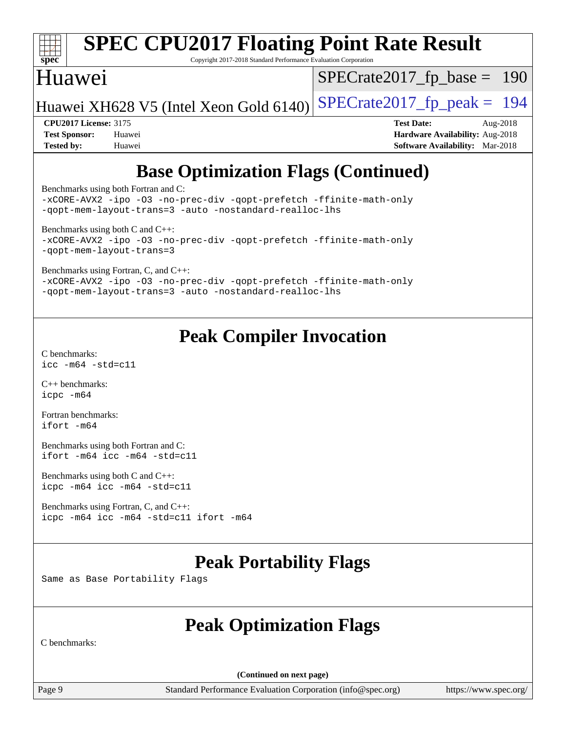

Copyright 2017-2018 Standard Performance Evaluation Corporation

#### Huawei

[SPECrate2017\\_fp\\_base =](http://www.spec.org/auto/cpu2017/Docs/result-fields.html#SPECrate2017fpbase) 190

Huawei XH628 V5 (Intel Xeon Gold 6140) SPECrate  $2017$  fp peak = 194

**[CPU2017 License:](http://www.spec.org/auto/cpu2017/Docs/result-fields.html#CPU2017License)** 3175 **[Test Date:](http://www.spec.org/auto/cpu2017/Docs/result-fields.html#TestDate)** Aug-2018 **[Test Sponsor:](http://www.spec.org/auto/cpu2017/Docs/result-fields.html#TestSponsor)** Huawei **[Hardware Availability:](http://www.spec.org/auto/cpu2017/Docs/result-fields.html#HardwareAvailability)** Aug-2018 **[Tested by:](http://www.spec.org/auto/cpu2017/Docs/result-fields.html#Testedby)** Huawei **[Software Availability:](http://www.spec.org/auto/cpu2017/Docs/result-fields.html#SoftwareAvailability)** Mar-2018

## **[Base Optimization Flags \(Continued\)](http://www.spec.org/auto/cpu2017/Docs/result-fields.html#BaseOptimizationFlags)**

[Benchmarks using both Fortran and C](http://www.spec.org/auto/cpu2017/Docs/result-fields.html#BenchmarksusingbothFortranandC):

[-xCORE-AVX2](http://www.spec.org/cpu2017/results/res2018q4/cpu2017-20181025-09282.flags.html#user_CC_FCbase_f-xCORE-AVX2) [-ipo](http://www.spec.org/cpu2017/results/res2018q4/cpu2017-20181025-09282.flags.html#user_CC_FCbase_f-ipo) [-O3](http://www.spec.org/cpu2017/results/res2018q4/cpu2017-20181025-09282.flags.html#user_CC_FCbase_f-O3) [-no-prec-div](http://www.spec.org/cpu2017/results/res2018q4/cpu2017-20181025-09282.flags.html#user_CC_FCbase_f-no-prec-div) [-qopt-prefetch](http://www.spec.org/cpu2017/results/res2018q4/cpu2017-20181025-09282.flags.html#user_CC_FCbase_f-qopt-prefetch) [-ffinite-math-only](http://www.spec.org/cpu2017/results/res2018q4/cpu2017-20181025-09282.flags.html#user_CC_FCbase_f_finite_math_only_cb91587bd2077682c4b38af759c288ed7c732db004271a9512da14a4f8007909a5f1427ecbf1a0fb78ff2a814402c6114ac565ca162485bbcae155b5e4258871) [-qopt-mem-layout-trans=3](http://www.spec.org/cpu2017/results/res2018q4/cpu2017-20181025-09282.flags.html#user_CC_FCbase_f-qopt-mem-layout-trans_de80db37974c74b1f0e20d883f0b675c88c3b01e9d123adea9b28688d64333345fb62bc4a798493513fdb68f60282f9a726aa07f478b2f7113531aecce732043) [-auto](http://www.spec.org/cpu2017/results/res2018q4/cpu2017-20181025-09282.flags.html#user_CC_FCbase_f-auto) [-nostandard-realloc-lhs](http://www.spec.org/cpu2017/results/res2018q4/cpu2017-20181025-09282.flags.html#user_CC_FCbase_f_2003_std_realloc_82b4557e90729c0f113870c07e44d33d6f5a304b4f63d4c15d2d0f1fab99f5daaed73bdb9275d9ae411527f28b936061aa8b9c8f2d63842963b95c9dd6426b8a)

[Benchmarks using both C and C++](http://www.spec.org/auto/cpu2017/Docs/result-fields.html#BenchmarksusingbothCandCXX): [-xCORE-AVX2](http://www.spec.org/cpu2017/results/res2018q4/cpu2017-20181025-09282.flags.html#user_CC_CXXbase_f-xCORE-AVX2) [-ipo](http://www.spec.org/cpu2017/results/res2018q4/cpu2017-20181025-09282.flags.html#user_CC_CXXbase_f-ipo) [-O3](http://www.spec.org/cpu2017/results/res2018q4/cpu2017-20181025-09282.flags.html#user_CC_CXXbase_f-O3) [-no-prec-div](http://www.spec.org/cpu2017/results/res2018q4/cpu2017-20181025-09282.flags.html#user_CC_CXXbase_f-no-prec-div) [-qopt-prefetch](http://www.spec.org/cpu2017/results/res2018q4/cpu2017-20181025-09282.flags.html#user_CC_CXXbase_f-qopt-prefetch) [-ffinite-math-only](http://www.spec.org/cpu2017/results/res2018q4/cpu2017-20181025-09282.flags.html#user_CC_CXXbase_f_finite_math_only_cb91587bd2077682c4b38af759c288ed7c732db004271a9512da14a4f8007909a5f1427ecbf1a0fb78ff2a814402c6114ac565ca162485bbcae155b5e4258871) [-qopt-mem-layout-trans=3](http://www.spec.org/cpu2017/results/res2018q4/cpu2017-20181025-09282.flags.html#user_CC_CXXbase_f-qopt-mem-layout-trans_de80db37974c74b1f0e20d883f0b675c88c3b01e9d123adea9b28688d64333345fb62bc4a798493513fdb68f60282f9a726aa07f478b2f7113531aecce732043)

[Benchmarks using Fortran, C, and C++:](http://www.spec.org/auto/cpu2017/Docs/result-fields.html#BenchmarksusingFortranCandCXX)

[-xCORE-AVX2](http://www.spec.org/cpu2017/results/res2018q4/cpu2017-20181025-09282.flags.html#user_CC_CXX_FCbase_f-xCORE-AVX2) [-ipo](http://www.spec.org/cpu2017/results/res2018q4/cpu2017-20181025-09282.flags.html#user_CC_CXX_FCbase_f-ipo) [-O3](http://www.spec.org/cpu2017/results/res2018q4/cpu2017-20181025-09282.flags.html#user_CC_CXX_FCbase_f-O3) [-no-prec-div](http://www.spec.org/cpu2017/results/res2018q4/cpu2017-20181025-09282.flags.html#user_CC_CXX_FCbase_f-no-prec-div) [-qopt-prefetch](http://www.spec.org/cpu2017/results/res2018q4/cpu2017-20181025-09282.flags.html#user_CC_CXX_FCbase_f-qopt-prefetch) [-ffinite-math-only](http://www.spec.org/cpu2017/results/res2018q4/cpu2017-20181025-09282.flags.html#user_CC_CXX_FCbase_f_finite_math_only_cb91587bd2077682c4b38af759c288ed7c732db004271a9512da14a4f8007909a5f1427ecbf1a0fb78ff2a814402c6114ac565ca162485bbcae155b5e4258871) [-qopt-mem-layout-trans=3](http://www.spec.org/cpu2017/results/res2018q4/cpu2017-20181025-09282.flags.html#user_CC_CXX_FCbase_f-qopt-mem-layout-trans_de80db37974c74b1f0e20d883f0b675c88c3b01e9d123adea9b28688d64333345fb62bc4a798493513fdb68f60282f9a726aa07f478b2f7113531aecce732043) [-auto](http://www.spec.org/cpu2017/results/res2018q4/cpu2017-20181025-09282.flags.html#user_CC_CXX_FCbase_f-auto) [-nostandard-realloc-lhs](http://www.spec.org/cpu2017/results/res2018q4/cpu2017-20181025-09282.flags.html#user_CC_CXX_FCbase_f_2003_std_realloc_82b4557e90729c0f113870c07e44d33d6f5a304b4f63d4c15d2d0f1fab99f5daaed73bdb9275d9ae411527f28b936061aa8b9c8f2d63842963b95c9dd6426b8a)

## **[Peak Compiler Invocation](http://www.spec.org/auto/cpu2017/Docs/result-fields.html#PeakCompilerInvocation)**

[C benchmarks](http://www.spec.org/auto/cpu2017/Docs/result-fields.html#Cbenchmarks): [icc -m64 -std=c11](http://www.spec.org/cpu2017/results/res2018q4/cpu2017-20181025-09282.flags.html#user_CCpeak_intel_icc_64bit_c11_33ee0cdaae7deeeab2a9725423ba97205ce30f63b9926c2519791662299b76a0318f32ddfffdc46587804de3178b4f9328c46fa7c2b0cd779d7a61945c91cd35)

[C++ benchmarks:](http://www.spec.org/auto/cpu2017/Docs/result-fields.html#CXXbenchmarks) [icpc -m64](http://www.spec.org/cpu2017/results/res2018q4/cpu2017-20181025-09282.flags.html#user_CXXpeak_intel_icpc_64bit_4ecb2543ae3f1412ef961e0650ca070fec7b7afdcd6ed48761b84423119d1bf6bdf5cad15b44d48e7256388bc77273b966e5eb805aefd121eb22e9299b2ec9d9)

[Fortran benchmarks](http://www.spec.org/auto/cpu2017/Docs/result-fields.html#Fortranbenchmarks): [ifort -m64](http://www.spec.org/cpu2017/results/res2018q4/cpu2017-20181025-09282.flags.html#user_FCpeak_intel_ifort_64bit_24f2bb282fbaeffd6157abe4f878425411749daecae9a33200eee2bee2fe76f3b89351d69a8130dd5949958ce389cf37ff59a95e7a40d588e8d3a57e0c3fd751)

[Benchmarks using both Fortran and C](http://www.spec.org/auto/cpu2017/Docs/result-fields.html#BenchmarksusingbothFortranandC): [ifort -m64](http://www.spec.org/cpu2017/results/res2018q4/cpu2017-20181025-09282.flags.html#user_CC_FCpeak_intel_ifort_64bit_24f2bb282fbaeffd6157abe4f878425411749daecae9a33200eee2bee2fe76f3b89351d69a8130dd5949958ce389cf37ff59a95e7a40d588e8d3a57e0c3fd751) [icc -m64 -std=c11](http://www.spec.org/cpu2017/results/res2018q4/cpu2017-20181025-09282.flags.html#user_CC_FCpeak_intel_icc_64bit_c11_33ee0cdaae7deeeab2a9725423ba97205ce30f63b9926c2519791662299b76a0318f32ddfffdc46587804de3178b4f9328c46fa7c2b0cd779d7a61945c91cd35)

[Benchmarks using both C and C++](http://www.spec.org/auto/cpu2017/Docs/result-fields.html#BenchmarksusingbothCandCXX): [icpc -m64](http://www.spec.org/cpu2017/results/res2018q4/cpu2017-20181025-09282.flags.html#user_CC_CXXpeak_intel_icpc_64bit_4ecb2543ae3f1412ef961e0650ca070fec7b7afdcd6ed48761b84423119d1bf6bdf5cad15b44d48e7256388bc77273b966e5eb805aefd121eb22e9299b2ec9d9) [icc -m64 -std=c11](http://www.spec.org/cpu2017/results/res2018q4/cpu2017-20181025-09282.flags.html#user_CC_CXXpeak_intel_icc_64bit_c11_33ee0cdaae7deeeab2a9725423ba97205ce30f63b9926c2519791662299b76a0318f32ddfffdc46587804de3178b4f9328c46fa7c2b0cd779d7a61945c91cd35)

[Benchmarks using Fortran, C, and C++:](http://www.spec.org/auto/cpu2017/Docs/result-fields.html#BenchmarksusingFortranCandCXX) [icpc -m64](http://www.spec.org/cpu2017/results/res2018q4/cpu2017-20181025-09282.flags.html#user_CC_CXX_FCpeak_intel_icpc_64bit_4ecb2543ae3f1412ef961e0650ca070fec7b7afdcd6ed48761b84423119d1bf6bdf5cad15b44d48e7256388bc77273b966e5eb805aefd121eb22e9299b2ec9d9) [icc -m64 -std=c11](http://www.spec.org/cpu2017/results/res2018q4/cpu2017-20181025-09282.flags.html#user_CC_CXX_FCpeak_intel_icc_64bit_c11_33ee0cdaae7deeeab2a9725423ba97205ce30f63b9926c2519791662299b76a0318f32ddfffdc46587804de3178b4f9328c46fa7c2b0cd779d7a61945c91cd35) [ifort -m64](http://www.spec.org/cpu2017/results/res2018q4/cpu2017-20181025-09282.flags.html#user_CC_CXX_FCpeak_intel_ifort_64bit_24f2bb282fbaeffd6157abe4f878425411749daecae9a33200eee2bee2fe76f3b89351d69a8130dd5949958ce389cf37ff59a95e7a40d588e8d3a57e0c3fd751)

## **[Peak Portability Flags](http://www.spec.org/auto/cpu2017/Docs/result-fields.html#PeakPortabilityFlags)**

Same as Base Portability Flags

## **[Peak Optimization Flags](http://www.spec.org/auto/cpu2017/Docs/result-fields.html#PeakOptimizationFlags)**

[C benchmarks:](http://www.spec.org/auto/cpu2017/Docs/result-fields.html#Cbenchmarks)

**(Continued on next page)**

Page 9 Standard Performance Evaluation Corporation [\(info@spec.org\)](mailto:info@spec.org) <https://www.spec.org/>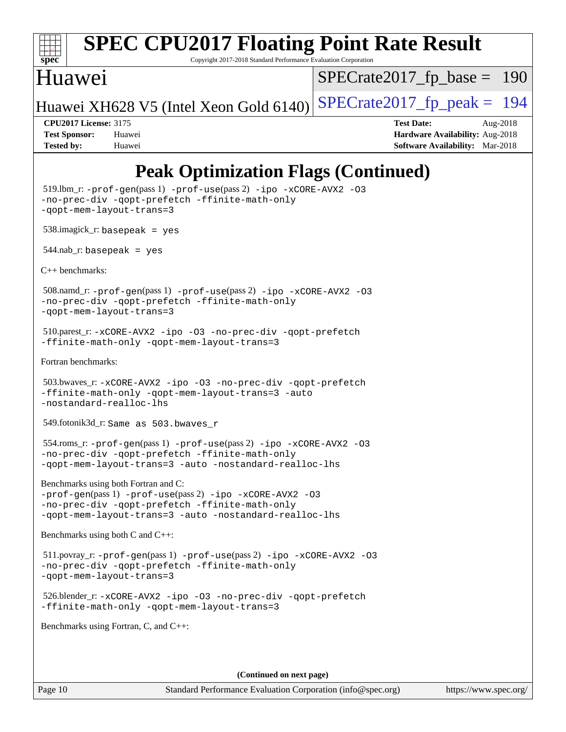

Copyright 2017-2018 Standard Performance Evaluation Corporation

### Huawei

[SPECrate2017\\_fp\\_base =](http://www.spec.org/auto/cpu2017/Docs/result-fields.html#SPECrate2017fpbase) 190

Huawei XH628 V5 (Intel Xeon Gold  $6140$ ) [SPECrate2017\\_fp\\_peak =](http://www.spec.org/auto/cpu2017/Docs/result-fields.html#SPECrate2017fppeak) 194

**[CPU2017 License:](http://www.spec.org/auto/cpu2017/Docs/result-fields.html#CPU2017License)** 3175 **[Test Date:](http://www.spec.org/auto/cpu2017/Docs/result-fields.html#TestDate)** Aug-2018 **[Test Sponsor:](http://www.spec.org/auto/cpu2017/Docs/result-fields.html#TestSponsor)** Huawei **[Hardware Availability:](http://www.spec.org/auto/cpu2017/Docs/result-fields.html#HardwareAvailability)** Aug-2018 **[Tested by:](http://www.spec.org/auto/cpu2017/Docs/result-fields.html#Testedby)** Huawei **[Software Availability:](http://www.spec.org/auto/cpu2017/Docs/result-fields.html#SoftwareAvailability)** Mar-2018

## **[Peak Optimization Flags \(Continued\)](http://www.spec.org/auto/cpu2017/Docs/result-fields.html#PeakOptimizationFlags)**

```
 519.lbm_r: -prof-gen(pass 1) -prof-use(pass 2) -ipo -xCORE-AVX2 -O3
-no-prec-div -qopt-prefetch -ffinite-math-only
-qopt-mem-layout-trans=3
 538.imagick_r: basepeak = yes
544.nab_r: basepeak = yes
C++ benchmarks: 
 508.namd_r: -prof-gen(pass 1) -prof-use(pass 2) -ipo -xCORE-AVX2 -O3
-no-prec-div -qopt-prefetch -ffinite-math-only
-qopt-mem-layout-trans=3
 510.parest_r: -xCORE-AVX2 -ipo -O3 -no-prec-div -qopt-prefetch
-ffinite-math-only -qopt-mem-layout-trans=3
Fortran benchmarks: 
 503.bwaves_r: -xCORE-AVX2 -ipo -O3 -no-prec-div -qopt-prefetch
-ffinite-math-only -qopt-mem-layout-trans=3 -auto
-nostandard-realloc-lhs
 549.fotonik3d_r: Same as 503.bwaves_r
 554.roms_r: -prof-gen(pass 1) -prof-use(pass 2) -ipo -xCORE-AVX2 -O3
-no-prec-div -qopt-prefetch -ffinite-math-only
-qopt-mem-layout-trans=3 -auto -nostandard-realloc-lhs
Benchmarks using both Fortran and C: 
-prof-gen(pass 1) -prof-use(pass 2) -ipo -xCORE-AVX2 -O3
-no-prec-div -qopt-prefetch -ffinite-math-only
-qopt-mem-layout-trans=3 -auto -nostandard-realloc-lhs
Benchmarks using both C and C++: 
 511.povray_r: -prof-gen(pass 1) -prof-use(pass 2) -ipo -xCORE-AVX2 -O3
-no-prec-div -qopt-prefetch -ffinite-math-only
-qopt-mem-layout-trans=3
 526.blender_r: -xCORE-AVX2 -ipo -O3 -no-prec-div -qopt-prefetch
-ffinite-math-only -qopt-mem-layout-trans=3
Benchmarks using Fortran, C, and C++: 
                                       (Continued on next page)
```